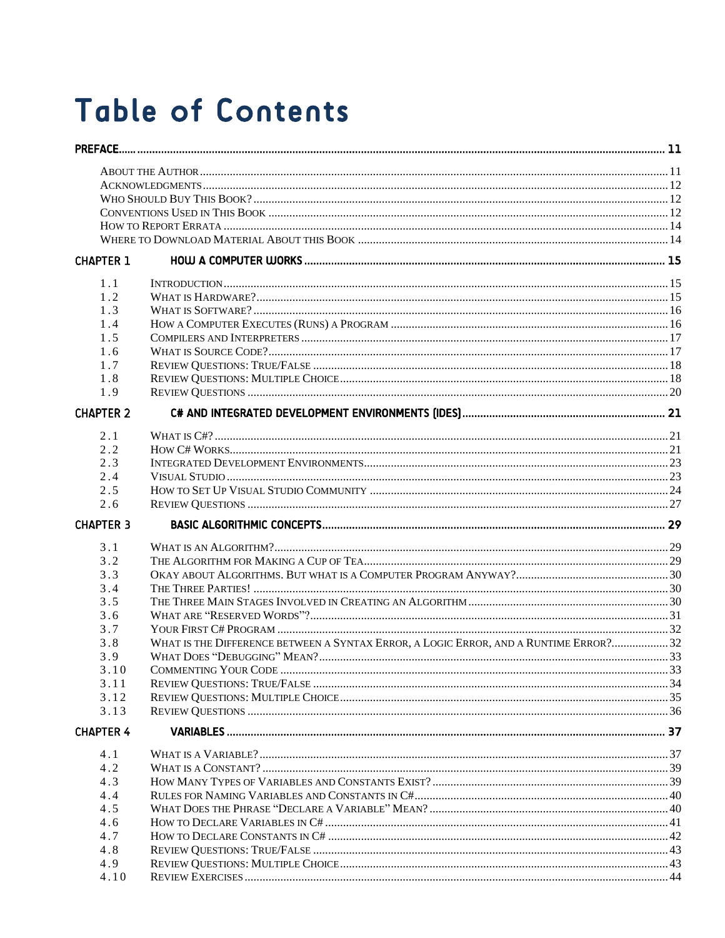## **Table of Contents**

| <b>CHAPTER 1</b> |                                                                                       |  |
|------------------|---------------------------------------------------------------------------------------|--|
| 1.1              |                                                                                       |  |
| 1.2              |                                                                                       |  |
| 1.3              |                                                                                       |  |
| 1.4              |                                                                                       |  |
| 1.5              |                                                                                       |  |
| 1.6              |                                                                                       |  |
| 1.7              |                                                                                       |  |
| 1.8              |                                                                                       |  |
| 1.9              |                                                                                       |  |
| <b>CHAPTER 2</b> |                                                                                       |  |
|                  |                                                                                       |  |
| 2.1              |                                                                                       |  |
| 2.2              |                                                                                       |  |
| 2.3              |                                                                                       |  |
| 2.4              |                                                                                       |  |
| 2.5<br>2.6       |                                                                                       |  |
| <b>CHAPTER 3</b> |                                                                                       |  |
|                  |                                                                                       |  |
| 3.1              |                                                                                       |  |
| 3.2              |                                                                                       |  |
| 3.3              |                                                                                       |  |
| 3.4              |                                                                                       |  |
| 3.5              |                                                                                       |  |
| 3.6              |                                                                                       |  |
| 3.7              |                                                                                       |  |
| 3.8              | WHAT IS THE DIFFERENCE BETWEEN A SYNTAX ERROR, A LOGIC ERROR, AND A RUNTIME ERROR? 32 |  |
| 3.9              |                                                                                       |  |
| 3.10             | <b>COMMENTING YOUR CODE</b>                                                           |  |
| 3.11             |                                                                                       |  |
| 3.12             |                                                                                       |  |
| 3.13             |                                                                                       |  |
| <b>CHAPTER 4</b> |                                                                                       |  |
| 4.1              |                                                                                       |  |
| 4.2              |                                                                                       |  |
| 4.3              |                                                                                       |  |
| 4.4              |                                                                                       |  |
| 4.5              |                                                                                       |  |
| 4.6              |                                                                                       |  |
| 4.7              |                                                                                       |  |
| 4.8              |                                                                                       |  |
| 4.9              |                                                                                       |  |
| 4.10             |                                                                                       |  |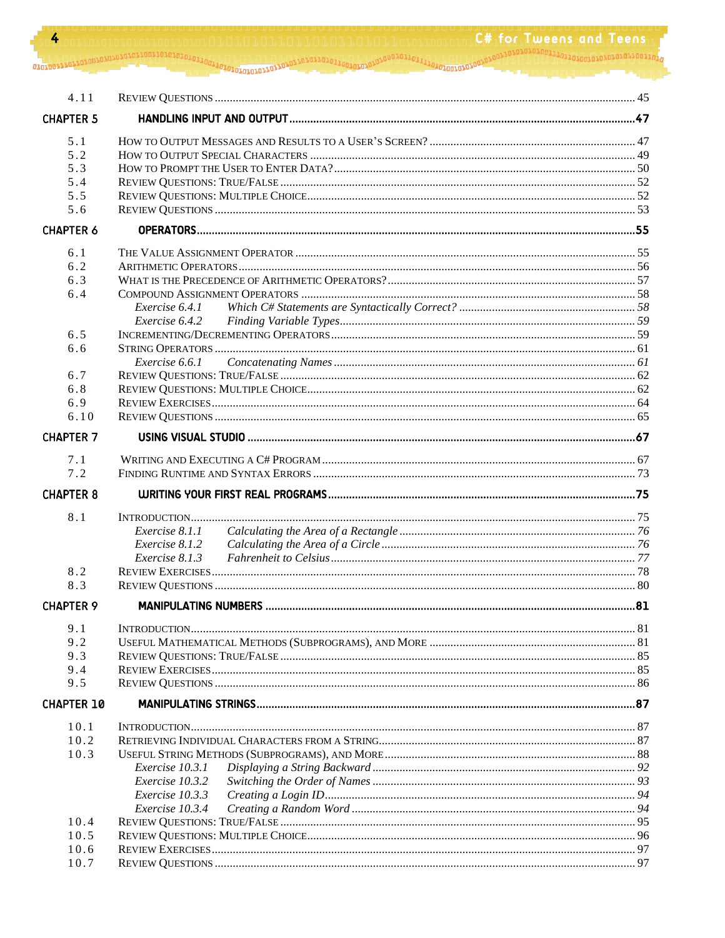| 4                 | 1.01.01.1.n.n.ing.or             | C# for Tweens and Teens |
|-------------------|----------------------------------|-------------------------|
|                   |                                  |                         |
|                   |                                  |                         |
|                   |                                  |                         |
| 4.11              |                                  |                         |
| <b>CHAPTER 5</b>  |                                  |                         |
| 5.1               |                                  |                         |
| 5.2               |                                  |                         |
| 5.3               |                                  |                         |
| 5.4               |                                  |                         |
| 5.5               |                                  |                         |
| 5.6               |                                  |                         |
| <b>CHAPTER 6</b>  |                                  |                         |
| 6.1               |                                  |                         |
| 6.2               |                                  |                         |
| 6.3               |                                  |                         |
| 6.4               |                                  |                         |
|                   | Exercise 6.4.1                   |                         |
|                   | Exercise 6.4.2                   |                         |
| 6.5               |                                  |                         |
| 6.6               |                                  |                         |
|                   | <i>Exercise</i> 6.6.1            |                         |
| 6.7               |                                  |                         |
| 6.8               |                                  |                         |
| 6.9               |                                  |                         |
| 6.10              |                                  |                         |
| <b>CHAPTER 7</b>  |                                  |                         |
| 7.1               |                                  |                         |
| 7.2               |                                  |                         |
| <b>CHAPTER 8</b>  |                                  |                         |
|                   |                                  |                         |
| 8.1               |                                  |                         |
|                   | Exercise 8.1.1<br>Exercise 8.1.2 |                         |
|                   | <i>Exercise</i> 8.1.3            |                         |
| 8.2               |                                  |                         |
| 8.3               |                                  |                         |
| <b>CHAPTER 9</b>  |                                  |                         |
|                   |                                  |                         |
| 9.1               |                                  |                         |
| 9.2               |                                  |                         |
| 9.3               |                                  |                         |
| 9.4<br>9.5        |                                  |                         |
|                   |                                  |                         |
| <b>CHAPTER 10</b> |                                  |                         |
| 10.1              |                                  |                         |
| 10.2              |                                  |                         |
| 10.3              |                                  |                         |
|                   | Exercise 10.3.1                  |                         |
|                   | Exercise 10.3.2                  |                         |
|                   | Exercise 10.3.3                  |                         |
|                   | Exercise 10.3.4                  |                         |
| 10.4              |                                  |                         |
| 10.5<br>10.6      |                                  |                         |
| 10.7              |                                  |                         |
|                   |                                  |                         |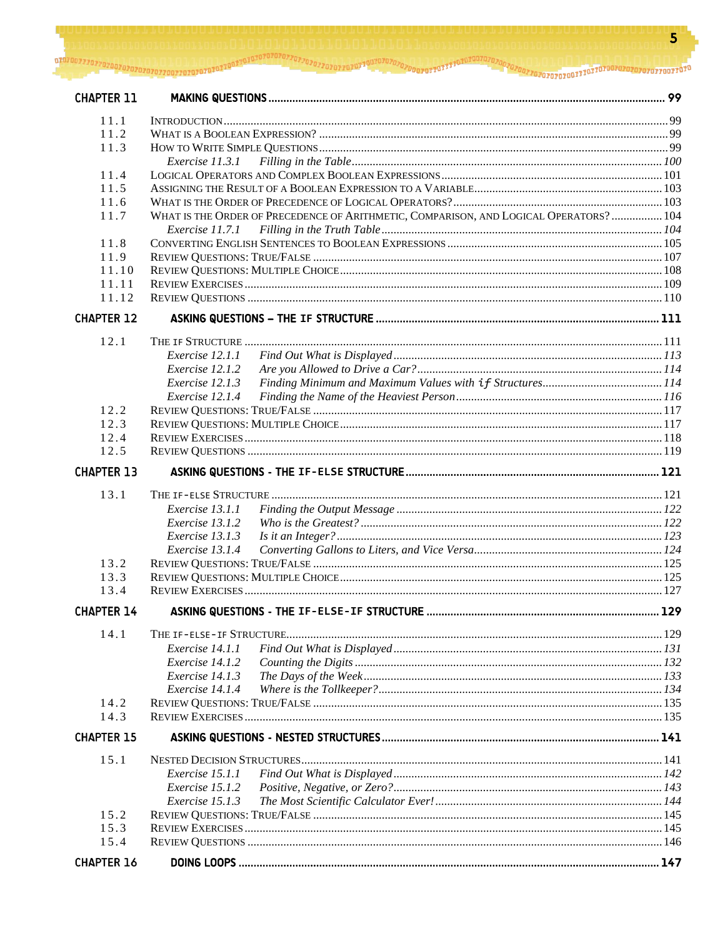$\overline{\mathbf{5}}$ 

| <b>CHAPTER 11</b> |                                                                                        |  |  |  |
|-------------------|----------------------------------------------------------------------------------------|--|--|--|
| 11.1              |                                                                                        |  |  |  |
| 11.2              |                                                                                        |  |  |  |
| 11.3              |                                                                                        |  |  |  |
|                   |                                                                                        |  |  |  |
| 11.4              |                                                                                        |  |  |  |
| 11.5              |                                                                                        |  |  |  |
| 11.6              |                                                                                        |  |  |  |
| 11.7              | WHAT IS THE ORDER OF PRECEDENCE OF ARITHMETIC, COMPARISON, AND LOGICAL OPERATORS?  104 |  |  |  |
|                   |                                                                                        |  |  |  |
| 11.8              |                                                                                        |  |  |  |
| 11.9              |                                                                                        |  |  |  |
| 11.10             |                                                                                        |  |  |  |
| 11.11             |                                                                                        |  |  |  |
| 11.12             |                                                                                        |  |  |  |
| <b>CHAPTER 12</b> |                                                                                        |  |  |  |
| 12.1              |                                                                                        |  |  |  |
|                   | Exercise 12.1.1                                                                        |  |  |  |
|                   | Exercise 12.1.2                                                                        |  |  |  |
|                   | Exercise 12.1.3                                                                        |  |  |  |
|                   | Exercise 12.1.4                                                                        |  |  |  |
| 12.2              |                                                                                        |  |  |  |
| 12.3              |                                                                                        |  |  |  |
| 12.4              |                                                                                        |  |  |  |
| 12.5              |                                                                                        |  |  |  |
| <b>CHAPTER 13</b> |                                                                                        |  |  |  |
| 13.1              |                                                                                        |  |  |  |
|                   | Exercise 13.1.1                                                                        |  |  |  |
|                   | Exercise 13.1.2                                                                        |  |  |  |
|                   | Exercise 13.1.3                                                                        |  |  |  |
|                   | Exercise 13.1.4                                                                        |  |  |  |
| 13.2              |                                                                                        |  |  |  |
| 13.3              |                                                                                        |  |  |  |
| 13.4              |                                                                                        |  |  |  |
| <b>CHAPTER 14</b> |                                                                                        |  |  |  |
| 14.1              |                                                                                        |  |  |  |
|                   | Exercise 14.1.1                                                                        |  |  |  |
|                   | Exercise 14.1.2                                                                        |  |  |  |
|                   | Exercise 14.1.3                                                                        |  |  |  |
|                   | Exercise 14.1.4                                                                        |  |  |  |
| 14.2              |                                                                                        |  |  |  |
| 14.3              |                                                                                        |  |  |  |
| <b>CHAPTER 15</b> |                                                                                        |  |  |  |
| 15.1              |                                                                                        |  |  |  |
|                   | Exercise 15.1.1                                                                        |  |  |  |
|                   | Exercise 15.1.2                                                                        |  |  |  |
|                   | Exercise 15.1.3                                                                        |  |  |  |
| 15.2              |                                                                                        |  |  |  |
| 15.3              |                                                                                        |  |  |  |
| 15.4              |                                                                                        |  |  |  |
| <b>CHAPTER 16</b> |                                                                                        |  |  |  |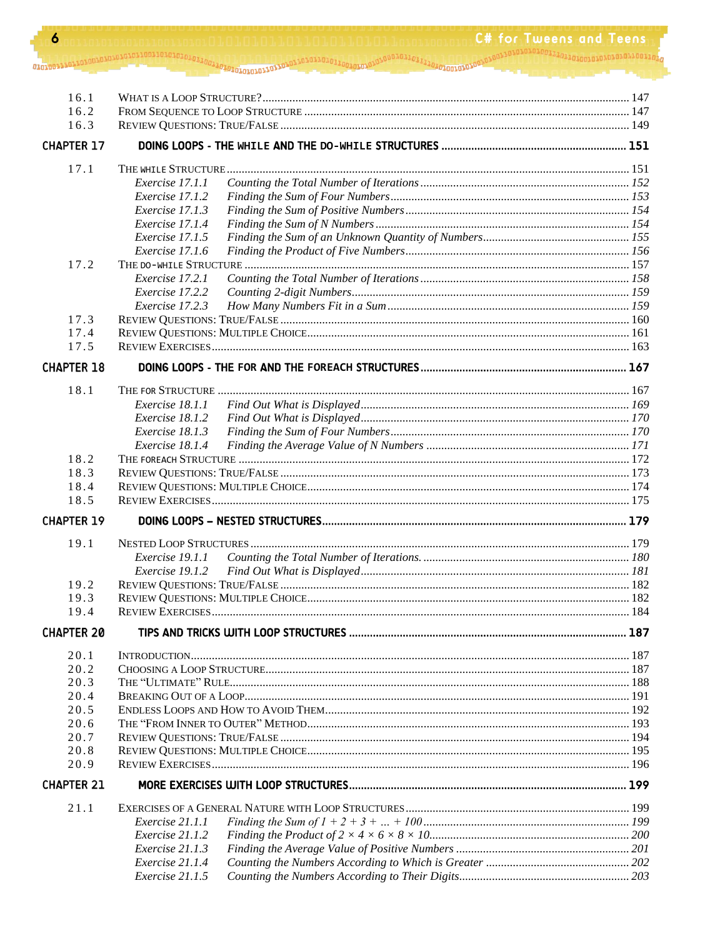|  | C# for Tweens and Te |
|--|----------------------|
|  |                      |
|  |                      |

ens: 10011/

 $\boldsymbol{6}$ 

01010011101

| 16.1              |                 |  |  |  |
|-------------------|-----------------|--|--|--|
| 16.2              |                 |  |  |  |
| 16.3              |                 |  |  |  |
| <b>CHAPTER 17</b> |                 |  |  |  |
| 17.1              |                 |  |  |  |
|                   | Exercise 17.1.1 |  |  |  |
|                   | Exercise 17.1.2 |  |  |  |
|                   | Exercise 17.1.3 |  |  |  |
|                   | Exercise 17.1.4 |  |  |  |
|                   | Exercise 17.1.5 |  |  |  |
|                   | Exercise 17.1.6 |  |  |  |
| 17.2              |                 |  |  |  |
|                   | Exercise 17.2.1 |  |  |  |
|                   | Exercise 17.2.2 |  |  |  |
|                   | Exercise 17.2.3 |  |  |  |
| 17.3              |                 |  |  |  |
| 17.4              |                 |  |  |  |
| 17.5              |                 |  |  |  |
| <b>CHAPTER 18</b> |                 |  |  |  |
|                   |                 |  |  |  |
| 18.1              |                 |  |  |  |
|                   | Exercise 18.1.1 |  |  |  |
|                   | Exercise 18.1.2 |  |  |  |
|                   | Exercise 18.1.3 |  |  |  |
|                   | Exercise 18.1.4 |  |  |  |
| 18.2              |                 |  |  |  |
| 18.3              |                 |  |  |  |
| 18.4              |                 |  |  |  |
| 18.5              |                 |  |  |  |
| <b>CHAPTER 19</b> |                 |  |  |  |
| 19.1              |                 |  |  |  |
|                   | Exercise 19.1.1 |  |  |  |
|                   | Exercise 19.1.2 |  |  |  |
| 19.2              |                 |  |  |  |
| 19.3              |                 |  |  |  |
| 19.4              |                 |  |  |  |
| <b>CHAPTER 20</b> |                 |  |  |  |
| 20.1              |                 |  |  |  |
| 20.2              |                 |  |  |  |
| 20.3              |                 |  |  |  |
| 20.4              |                 |  |  |  |
| 20.5              |                 |  |  |  |
| 20.6              |                 |  |  |  |
| 20.7              |                 |  |  |  |
| 20.8              |                 |  |  |  |
| 20.9              |                 |  |  |  |
| <b>CHAPTER 21</b> |                 |  |  |  |
| 21.1              |                 |  |  |  |
|                   | Exercise 21.1.1 |  |  |  |
|                   | Exercise 21.1.2 |  |  |  |
|                   | Exercise 21.1.3 |  |  |  |
|                   | Exercise 21.1.4 |  |  |  |
|                   | Exercise 21.1.5 |  |  |  |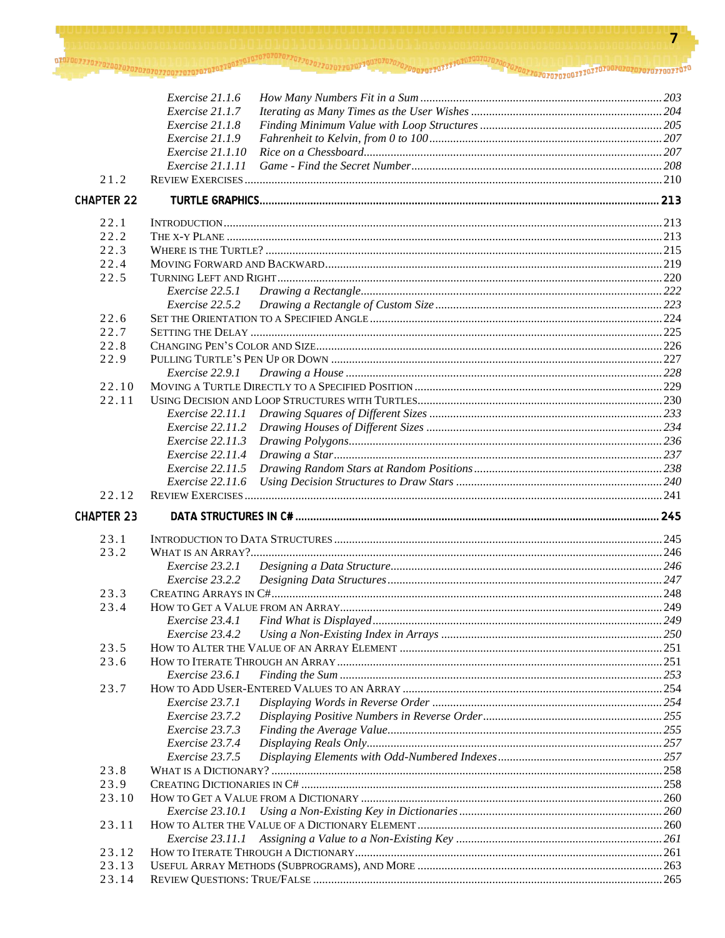|                   | Exercise 21.1.6                         |  |
|-------------------|-----------------------------------------|--|
|                   | Exercise 21.1.7                         |  |
|                   | Exercise 21.1.8                         |  |
|                   | Exercise 21.1.9                         |  |
|                   | <i>Exercise</i> 21.1.10                 |  |
|                   | Exercise 21.1.11                        |  |
| 21.2              |                                         |  |
| <b>CHAPTER 22</b> |                                         |  |
| 22.1              |                                         |  |
| 22.2              |                                         |  |
| 22.3              |                                         |  |
| 22.4              |                                         |  |
| 22.5              |                                         |  |
|                   | Exercise 22.5.1                         |  |
|                   | Exercise 22.5.2                         |  |
| 22.6              |                                         |  |
| 22.7              |                                         |  |
| 22.8              |                                         |  |
| 22.9              |                                         |  |
|                   | Exercise 22.9.1                         |  |
| 22.10             |                                         |  |
| 22.11             |                                         |  |
|                   | Exercise 22.11.1                        |  |
|                   | Exercise 22.11.2<br>$Exercise\ 22.11.3$ |  |
|                   | Exercise 22.11.4                        |  |
|                   | <i>Exercise</i> 22.11.5                 |  |
|                   | <i>Exercise</i> 22.11.6                 |  |
| 22.12             |                                         |  |
| <b>CHAPTER 23</b> |                                         |  |
| 23.1              |                                         |  |
| 23.2              |                                         |  |
|                   | Exercise 23.2.1                         |  |
|                   | Exercise 23.2.2                         |  |
| 23.3              |                                         |  |
| 23.4              |                                         |  |
|                   | Exercise 23.4.1                         |  |
|                   | Exercise 23.4.2                         |  |
| 23.5              |                                         |  |
| 23.6              |                                         |  |
|                   | Exercise 23.6.1                         |  |
| 23.7              |                                         |  |
|                   | Exercise 23.7.1                         |  |
|                   | Exercise 23.7.2                         |  |
|                   | Exercise 23.7.3<br>Exercise 23.7.4      |  |
|                   | Exercise 23.7.5                         |  |
| 23.8              |                                         |  |
| 23.9              |                                         |  |
| 23.10             |                                         |  |
|                   | Exercise 23.10.1                        |  |
| 23.11             |                                         |  |
|                   | Exercise 23.11.1                        |  |
| 23.12             |                                         |  |
| 23.13             |                                         |  |
| 23.14             |                                         |  |
|                   |                                         |  |

 $\overline{7}$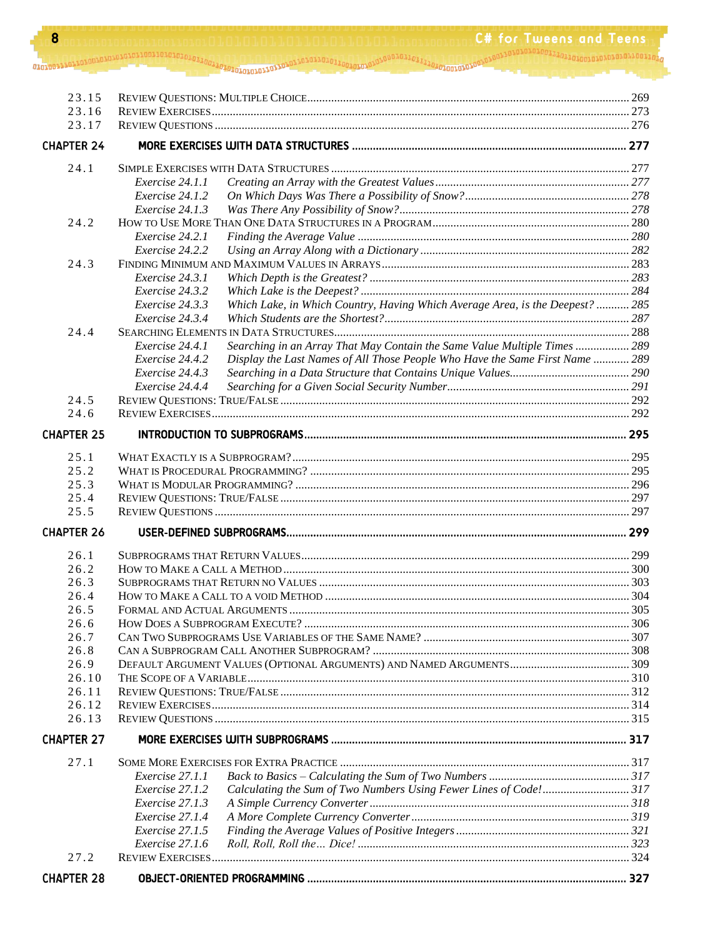| 8                 | <b>C# for Tweens and Teens</b>                                                                                      |  |
|-------------------|---------------------------------------------------------------------------------------------------------------------|--|
|                   |                                                                                                                     |  |
|                   |                                                                                                                     |  |
|                   |                                                                                                                     |  |
| 23.15             |                                                                                                                     |  |
| 23.16             |                                                                                                                     |  |
| 23.17             |                                                                                                                     |  |
| <b>CHAPTER 24</b> |                                                                                                                     |  |
| 24.1              |                                                                                                                     |  |
|                   | Exercise 24.1.1                                                                                                     |  |
|                   | Exercise 24.1.2                                                                                                     |  |
|                   | Exercise 24.1.3                                                                                                     |  |
| 24.2              |                                                                                                                     |  |
|                   | Exercise 24.2.1                                                                                                     |  |
|                   | Exercise 24.2.2                                                                                                     |  |
| 24.3              |                                                                                                                     |  |
|                   | Exercise 24.3.1                                                                                                     |  |
|                   | Exercise 24.3.2<br>Exercise 24.3.3<br>Which Lake, in Which Country, Having Which Average Area, is the Deepest?  285 |  |
|                   | Exercise 24.3.4                                                                                                     |  |
| 24.4              |                                                                                                                     |  |
|                   | Exercise 24.4.1<br>Searching in an Array That May Contain the Same Value Multiple Times  289                        |  |
|                   | Exercise 24.4.2<br>Display the Last Names of All Those People Who Have the Same First Name  289                     |  |
|                   | Exercise 24.4.3                                                                                                     |  |
|                   | Exercise 24.4.4                                                                                                     |  |
| 24.5              |                                                                                                                     |  |
| 24.6              | <b>REVIEW EXERCISES</b>                                                                                             |  |
| <b>CHAPTER 25</b> |                                                                                                                     |  |
| 25.1              |                                                                                                                     |  |
| 25.2              |                                                                                                                     |  |
| 25.3              |                                                                                                                     |  |
| 25.4              |                                                                                                                     |  |
| 25.5              |                                                                                                                     |  |
| <b>CHAPTER 26</b> |                                                                                                                     |  |
| 26.1              |                                                                                                                     |  |
| 26.2              |                                                                                                                     |  |
| 26.3              |                                                                                                                     |  |
| 26.4              |                                                                                                                     |  |
| 26.5              |                                                                                                                     |  |
| 26.6              |                                                                                                                     |  |
| 26.7              |                                                                                                                     |  |
| 26.8              |                                                                                                                     |  |
| 26.9              |                                                                                                                     |  |
| 26.10             |                                                                                                                     |  |
| 26.11             |                                                                                                                     |  |
| 26.12             |                                                                                                                     |  |
| 26.13             |                                                                                                                     |  |
| <b>CHAPTER 27</b> |                                                                                                                     |  |
| 27.1              |                                                                                                                     |  |
|                   | Exercise 27.1.1                                                                                                     |  |
|                   | Calculating the Sum of Two Numbers Using Fewer Lines of Code!317<br>Exercise 27.1.2                                 |  |
|                   | Exercise 27.1.3                                                                                                     |  |
|                   | Exercise 27.1.4<br>Exercise 27.1.5                                                                                  |  |
|                   | Exercise 27.1.6                                                                                                     |  |
| 27.2              |                                                                                                                     |  |
| <b>CHAPTER 28</b> |                                                                                                                     |  |
|                   |                                                                                                                     |  |